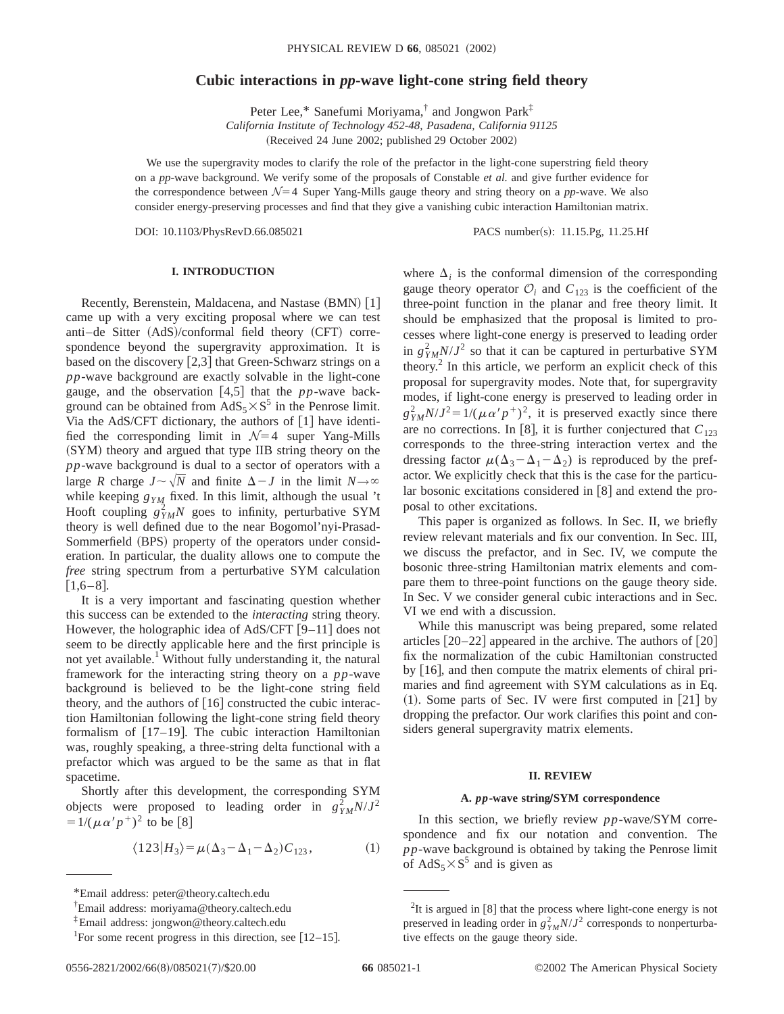# **Cubic interactions in** *pp***-wave light-cone string field theory**

Peter Lee,\* Sanefumi Moriyama,<sup>†</sup> and Jongwon Park<sup>‡</sup> *California Institute of Technology 452-48, Pasadena, California 91125* (Received 24 June 2002; published 29 October 2002)

We use the supergravity modes to clarify the role of the prefactor in the light-cone superstring field theory on a *pp*-wave background. We verify some of the proposals of Constable *et al.* and give further evidence for the correspondence between  $\mathcal{N}=4$  Super Yang-Mills gauge theory and string theory on a *pp*-wave. We also consider energy-preserving processes and find that they give a vanishing cubic interaction Hamiltonian matrix.

DOI: 10.1103/PhysRevD.66.085021 PACS number(s): 11.15.Pg, 11.25.Hf

## **I. INTRODUCTION**

Recently, Berenstein, Maldacena, and Nastase (BMN) [1] came up with a very exciting proposal where we can test anti-de Sitter (AdS)/conformal field theory (CFT) correspondence beyond the supergravity approximation. It is based on the discovery  $[2,3]$  that Green-Schwarz strings on a *pp*-wave background are exactly solvable in the light-cone gauge, and the observation  $[4,5]$  that the *pp*-wave background can be obtained from  $AdS_5 \times S^5$  in the Penrose limit. Via the AdS/CFT dictionary, the authors of  $[1]$  have identified the corresponding limit in  $\mathcal{N}=4$  super Yang-Mills (SYM) theory and argued that type IIB string theory on the *pp*-wave background is dual to a sector of operators with a large *R* charge  $J \sim \sqrt{N}$  and finite  $\Delta - J$  in the limit  $N \rightarrow \infty$ while keeping  $g_{YM}$  fixed. In this limit, although the usual 't Hooft coupling  $g_{YM}^2 N$  goes to infinity, perturbative SYM theory is well defined due to the near Bogomol'nyi-Prasad-Sommerfield (BPS) property of the operators under consideration. In particular, the duality allows one to compute the *free* string spectrum from a perturbative SYM calculation  $[1,6-8]$ .

It is a very important and fascinating question whether this success can be extended to the *interacting* string theory. However, the holographic idea of AdS/CFT  $[9-11]$  does not seem to be directly applicable here and the first principle is not yet available.<sup>1</sup> Without fully understanding it, the natural framework for the interacting string theory on a *pp*-wave background is believed to be the light-cone string field theory, and the authors of  $[16]$  constructed the cubic interaction Hamiltonian following the light-cone string field theory formalism of  $[17–19]$ . The cubic interaction Hamiltonian was, roughly speaking, a three-string delta functional with a prefactor which was argued to be the same as that in flat spacetime.

Shortly after this development, the corresponding SYM objects were proposed to leading order in  $g_{YM}^2 N/J^2$  $=1/(\mu \alpha' p^{\dagger})^2$  to be [8]

$$
\langle 123 | H_3 \rangle = \mu (\Delta_3 - \Delta_1 - \Delta_2) C_{123},\tag{1}
$$

where  $\Delta_i$  is the conformal dimension of the corresponding gauge theory operator  $O_i$  and  $C_{123}$  is the coefficient of the three-point function in the planar and free theory limit. It should be emphasized that the proposal is limited to processes where light-cone energy is preserved to leading order in  $g_{YM}^2 N / J^2$  so that it can be captured in perturbative SYM theory. $^{2}$  In this article, we perform an explicit check of this proposal for supergravity modes. Note that, for supergravity modes, if light-cone energy is preserved to leading order in  $g_{YM}^2 N/J^2 = 1/(\mu \alpha' p^+)^2$ , it is preserved exactly since there are no corrections. In [8], it is further conjectured that  $C_{123}$ corresponds to the three-string interaction vertex and the dressing factor  $\mu(\Delta_3 - \Delta_1 - \Delta_2)$  is reproduced by the prefactor. We explicitly check that this is the case for the particular bosonic excitations considered in  $[8]$  and extend the proposal to other excitations.

This paper is organized as follows. In Sec. II, we briefly review relevant materials and fix our convention. In Sec. III, we discuss the prefactor, and in Sec. IV, we compute the bosonic three-string Hamiltonian matrix elements and compare them to three-point functions on the gauge theory side. In Sec. V we consider general cubic interactions and in Sec. VI we end with a discussion.

While this manuscript was being prepared, some related articles  $[20-22]$  appeared in the archive. The authors of  $[20]$ fix the normalization of the cubic Hamiltonian constructed by  $[16]$ , and then compute the matrix elements of chiral primaries and find agreement with SYM calculations as in Eq.  $(1)$ . Some parts of Sec. IV were first computed in [21] by dropping the prefactor. Our work clarifies this point and considers general supergravity matrix elements.

#### **II. REVIEW**

### **A.** *pp***-wave stringÕSYM correspondence**

In this section, we briefly review *pp*-wave/SYM correspondence and fix our notation and convention. The *pp*-wave background is obtained by taking the Penrose limit of  $AdS_5 \times S^5$  and is given as

<sup>\*</sup>Email address: peter@theory.caltech.edu

<sup>†</sup> Email address: moriyama@theory.caltech.edu

<sup>‡</sup>Email address: jongwon@theory.caltech.edu

<sup>&</sup>lt;sup>1</sup>For some recent progress in this direction, see  $[12-15]$ .

 ${}^{2}$ It is argued in [8] that the process where light-cone energy is not preserved in leading order in  $g_{YM}^2 N/J^2$  corresponds to nonperturbative effects on the gauge theory side.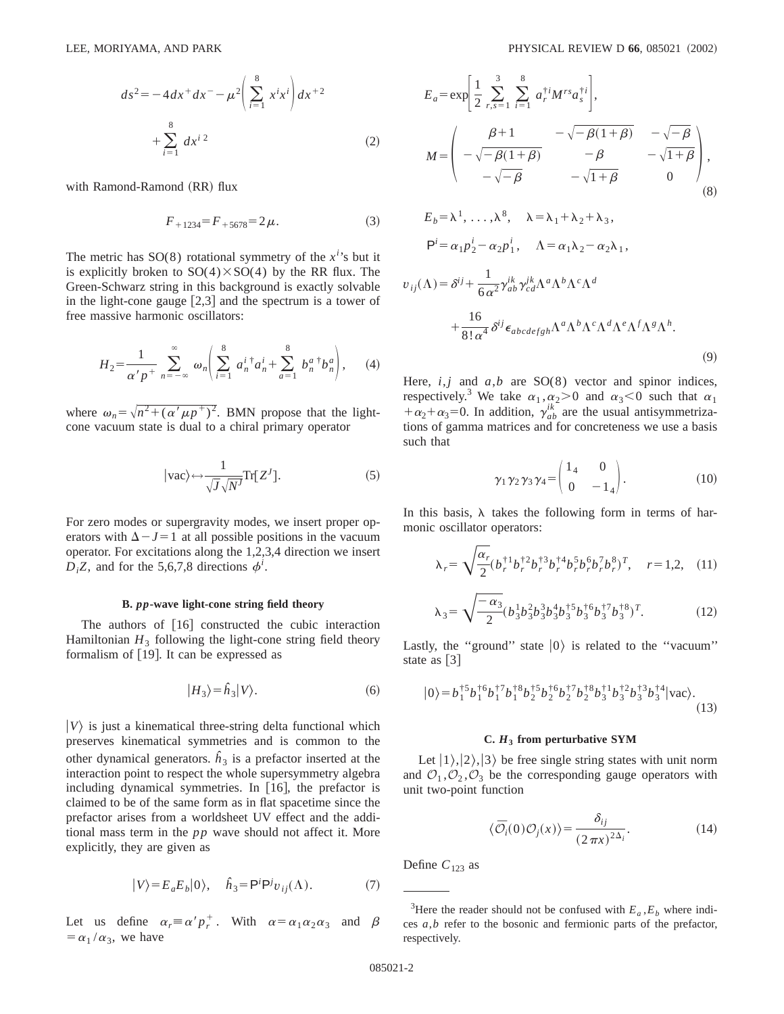$$
ds^{2} = -4dx^{+}dx^{-} - \mu^{2} \left( \sum_{i=1}^{8} x^{i}x^{i} \right) dx^{+2} + \sum_{i=1}^{8} dx^{i}^{2}
$$
 (2)

with Ramond-Ramond (RR) flux

$$
F_{+1234} = F_{+5678} = 2\,\mu. \tag{3}
$$

The metric has  $SO(8)$  rotational symmetry of the  $x^{i}$ 's but it is explicitly broken to  $SO(4) \times SO(4)$  by the RR flux. The Green-Schwarz string in this background is exactly solvable in the light-cone gauge  $[2,3]$  and the spectrum is a tower of free massive harmonic oscillators:

$$
H_2 = \frac{1}{\alpha' p^+} \sum_{n=-\infty}^{\infty} \omega_n \left( \sum_{i=1}^{8} a_n^{i \dagger} a_n^{i \dagger} + \sum_{a=1}^{8} b_n^{a \dagger} b_n^{a} \right), \quad (4)
$$

where  $\omega_n = \sqrt{n^2 + (\alpha' \mu p^+)^2}$ . BMN propose that the lightcone vacuum state is dual to a chiral primary operator

$$
|vac\rangle \leftrightarrow \frac{1}{\sqrt{J}\sqrt{N'}} \text{Tr}[Z^J].
$$
 (5)

For zero modes or supergravity modes, we insert proper operators with  $\Delta - J = 1$  at all possible positions in the vacuum operator. For excitations along the 1,2,3,4 direction we insert  $D_i Z$ , and for the 5,6,7,8 directions  $\phi^i$ .

### **B.** *pp***-wave light-cone string field theory**

The authors of  $[16]$  constructed the cubic interaction Hamiltonian  $H_3$  following the light-cone string field theory formalism of  $[19]$ . It can be expressed as

$$
|H_3\rangle = \hat{h}_3|V\rangle. \tag{6}
$$

 $|V\rangle$  is just a kinematical three-string delta functional which preserves kinematical symmetries and is common to the other dynamical generators.  $\hat{h}_3$  is a prefactor inserted at the interaction point to respect the whole supersymmetry algebra including dynamical symmetries. In  $[16]$ , the prefactor is claimed to be of the same form as in flat spacetime since the prefactor arises from a worldsheet UV effect and the additional mass term in the *pp* wave should not affect it. More explicitly, they are given as

$$
|V\rangle = E_a E_b |0\rangle, \quad \hat{h}_3 = \mathsf{P}^i \mathsf{P}^j v_{ij}(\Lambda). \tag{7}
$$

Let us define  $\alpha_r \equiv \alpha' p_r^+$ . With  $\alpha = \alpha_1 \alpha_2 \alpha_3$  and  $\beta$  $=\alpha_1/\alpha_3$ , we have

$$
E_{a} = \exp\left[\frac{1}{2} \sum_{r,s=1}^{3} \sum_{i=1}^{8} a_{r}^{\dagger i} M^{rs} a_{s}^{\dagger i}\right],
$$
  
\n
$$
M = \begin{pmatrix} \beta + 1 & -\sqrt{-\beta(1+\beta)} & -\sqrt{-\beta} \\ -\sqrt{-\beta(1+\beta)} & -\beta & -\sqrt{1+\beta} \\ -\sqrt{-\beta} & -\sqrt{1+\beta} & 0 \end{pmatrix},
$$
  
\n
$$
E_{b} = \lambda^{1}, \dots, \lambda^{8}, \quad \lambda = \lambda_{1} + \lambda_{2} + \lambda_{3},
$$
  
\n
$$
P^{i} = \alpha_{1} p_{2}^{i} - \alpha_{2} p_{1}^{i}, \quad \Lambda = \alpha_{1} \lambda_{2} - \alpha_{2} \lambda_{1},
$$
  
\n
$$
v_{ij}(\Lambda) = \delta^{ij} + \frac{1}{6\alpha^{2}} \gamma_{ab}^{ik} \gamma_{cd}^{ik} \Lambda^{a} \Lambda^{b} \Lambda^{c} \Lambda^{d}
$$
  
\n
$$
+ \frac{16}{8! \alpha^{4}} \delta^{ij} \epsilon_{abcdefgh} \Lambda^{a} \Lambda^{b} \Lambda^{c} \Lambda^{d} \Lambda^{e} \Lambda^{f} \Lambda^{g} \Lambda^{h}.
$$
  
\n(9)

Here,  $i, j$  and  $a, b$  are SO(8) vector and spinor indices, respectively.<sup>3</sup> We take  $\alpha_1, \alpha_2 > 0$  and  $\alpha_3 < 0$  such that  $\alpha_1$  $+\alpha_2+\alpha_3=0$ . In addition,  $\gamma_{ab}^{ik}$  are the usual antisymmetrizations of gamma matrices and for concreteness we use a basis such that

$$
\gamma_1 \gamma_2 \gamma_3 \gamma_4 = \begin{pmatrix} 1_4 & 0 \\ 0 & -1_4 \end{pmatrix} . \tag{10}
$$

In this basis,  $\lambda$  takes the following form in terms of harmonic oscillator operators:

$$
\lambda_r = \sqrt{\frac{\alpha_r}{2}} (b_r^{\dagger 1} b_r^{\dagger 2} b_r^{\dagger 3} b_r^{\dagger 4} b_r^5 b_r^6 b_r^7 b_r^8)^T, \quad r = 1, 2, \quad (11)
$$

$$
\lambda_3 = \sqrt{\frac{-\alpha_3}{2}} (b_3^1 b_3^2 b_3^3 b_3^4 b_3^{\dagger 5} b_3^{\dagger 6} b_3^{\dagger 7} b_3^{\dagger 8})^T. \tag{12}
$$

Lastly, the "ground" state  $|0\rangle$  is related to the "vacuum" state as  $\lceil 3 \rceil$ 

$$
|0\rangle = b_1^{\dagger 5} b_1^{\dagger 6} b_1^{\dagger 7} b_1^{\dagger 8} b_2^{\dagger 5} b_2^{\dagger 6} b_2^{\dagger 7} b_2^{\dagger 8} b_3^{\dagger 1} b_3^{\dagger 2} b_3^{\dagger 3} b_3^{\dagger 4} |\text{vac}\rangle. \tag{13}
$$

### **C.** *H***<sup>3</sup> from perturbative SYM**

Let  $|1\rangle,|2\rangle,|3\rangle$  be free single string states with unit norm and  $\mathcal{O}_1, \mathcal{O}_2, \mathcal{O}_3$  be the corresponding gauge operators with unit two-point function

$$
\langle \bar{\mathcal{O}}_i(0)\mathcal{O}_j(x)\rangle = \frac{\delta_{ij}}{(2\pi x)^{2\Delta_i}}.\tag{14}
$$

Define  $C_{123}$  as

<sup>&</sup>lt;sup>3</sup>Here the reader should not be confused with  $E_a$ ,  $E_b$  where indices *a*,*b* refer to the bosonic and fermionic parts of the prefactor, respectively.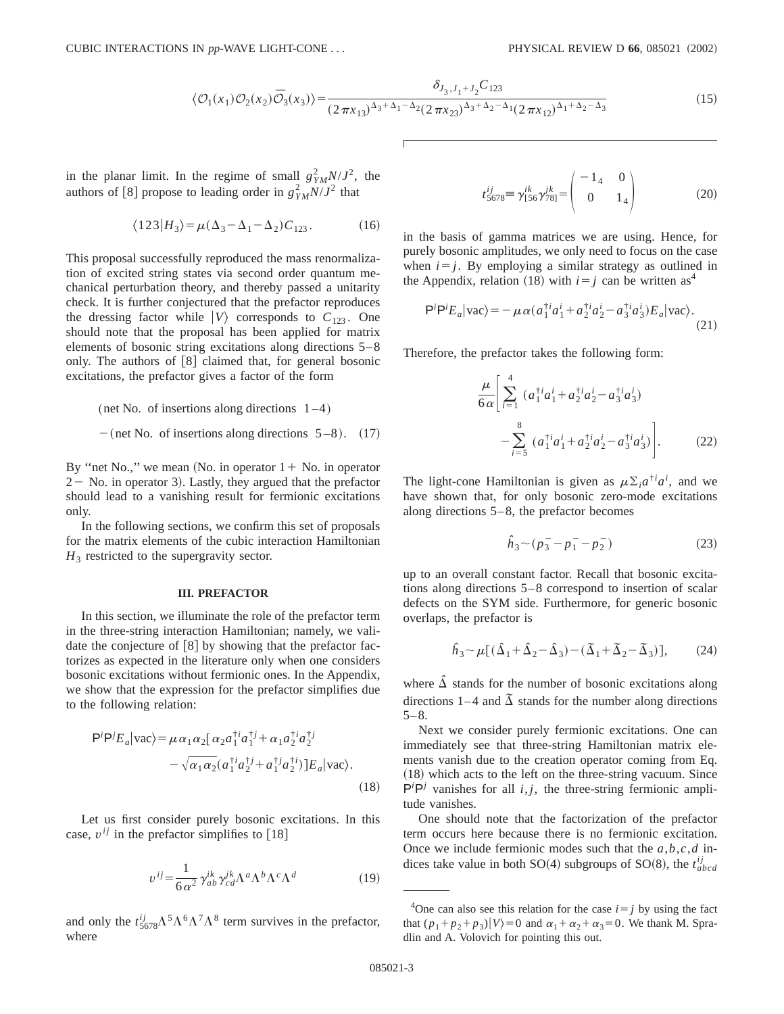$$
\langle \mathcal{O}_1(x_1)\mathcal{O}_2(x_2)\bar{\mathcal{O}}_3(x_3)\rangle = \frac{\delta_{J_3,J_1+J_2}C_{123}}{(2\pi x_{13})^{\Delta_3+\Delta_1-\Delta_2}(2\pi x_{23})^{\Delta_3+\Delta_2-\Delta_1}(2\pi x_{12})^{\Delta_1+\Delta_2-\Delta_3}}
$$
(15)

in the planar limit. In the regime of small  $g_{YM}^2 N/J^2$ , the authors of [8] propose to leading order in  $g_{YM}^2 N/J^2$  that

$$
\langle 123 | H_3 \rangle = \mu (\Delta_3 - \Delta_1 - \Delta_2) C_{123}.
$$
 (16)

This proposal successfully reproduced the mass renormalization of excited string states via second order quantum mechanical perturbation theory, and thereby passed a unitarity check. It is further conjectured that the prefactor reproduces the dressing factor while  $|V\rangle$  corresponds to  $C_{123}$ . One should note that the proposal has been applied for matrix elements of bosonic string excitations along directions 5–8 only. The authors of  $\lceil 8 \rceil$  claimed that, for general bosonic excitations, the prefactor gives a factor of the form

(net No. of insertions along directions 
$$
1-4
$$
)

$$
-(\text{net No. of insertions along directions } 5-8). \quad (17)
$$

By "net No.," we mean (No. in operator  $1 +$  No. in operator  $2 -$  No. in operator 3). Lastly, they argued that the prefactor should lead to a vanishing result for fermionic excitations only.

In the following sections, we confirm this set of proposals for the matrix elements of the cubic interaction Hamiltonian  $H_3$  restricted to the supergravity sector.

## **III. PREFACTOR**

In this section, we illuminate the role of the prefactor term in the three-string interaction Hamiltonian; namely, we validate the conjecture of  $[8]$  by showing that the prefactor factorizes as expected in the literature only when one considers bosonic excitations without fermionic ones. In the Appendix, we show that the expression for the prefactor simplifies due to the following relation:

$$
P^{i}P^{j}E_{a}|vac\rangle = \mu \alpha_{1} \alpha_{2} [\alpha_{2} a_{1}^{\dagger i} a_{1}^{\dagger j} + \alpha_{1} a_{2}^{\dagger i} a_{2}^{\dagger j} - \sqrt{\alpha_{1} \alpha_{2}} (a_{1}^{\dagger i} a_{2}^{\dagger j} + a_{1}^{\dagger j} a_{2}^{\dagger i})] E_{a}|vac\rangle.
$$
\n(18)

Let us first consider purely bosonic excitations. In this case,  $v^{ij}$  in the prefactor simplifies to [18]

$$
v^{ij} = \frac{1}{6\alpha^2} \gamma^{ik}_{ab} \gamma^{jk}_{cd} \Lambda^a \Lambda^b \Lambda^c \Lambda^d \tag{19}
$$

and only the  $t_{5678}^{ij} \Lambda^5 \Lambda^6 \Lambda^7 \Lambda^8$  term survives in the prefactor, where

$$
t_{5678}^{ij} \equiv \gamma_{[56}^{ik} \gamma_{78]}^{jk} = \begin{pmatrix} -1_4 & 0\\ 0 & 1_4 \end{pmatrix}
$$
 (20)

in the basis of gamma matrices we are using. Hence, for purely bosonic amplitudes, we only need to focus on the case when  $i=j$ . By employing a similar strategy as outlined in the Appendix, relation (18) with  $i=j$  can be written as<sup>4</sup>

$$
\mathsf{P}^i \mathsf{P}^i E_a |\text{vac}\rangle = -\mu \alpha (a_1^{\dagger i} a_1^i + a_2^{\dagger i} a_2^i - a_3^{\dagger i} a_3^i) E_a |\text{vac}\rangle. \tag{21}
$$

Therefore, the prefactor takes the following form:

$$
\frac{\mu}{6\alpha} \Bigg[ \sum_{i=1}^{4} (a_1^{\dagger i} a_1^i + a_2^{\dagger i} a_2^i - a_3^{\dagger i} a_3^i) - \sum_{i=5}^{8} (a_1^{\dagger i} a_1^i + a_2^{\dagger i} a_2^i - a_3^{\dagger i} a_3^i) \Bigg].
$$
\n(22)

The light-cone Hamiltonian is given as  $\mu \Sigma_i a^{\dagger i} a^i$ , and we have shown that, for only bosonic zero-mode excitations along directions 5–8, the prefactor becomes

$$
\hat{h}_3 \sim (p_3^- - p_1^- - p_2^-) \tag{23}
$$

up to an overall constant factor. Recall that bosonic excitations along directions 5–8 correspond to insertion of scalar defects on the SYM side. Furthermore, for generic bosonic overlaps, the prefactor is

$$
\hat{h}_3 \sim \mu \left[ (\Delta_1 + \Delta_2 - \Delta_3) - (\Delta_1 + \Delta_2 - \Delta_3) \right],\tag{24}
$$

where  $\hat{\Delta}$  stands for the number of bosonic excitations along directions 1–4 and  $\tilde{\Delta}$  stands for the number along directions  $5 - 8$ .

Next we consider purely fermionic excitations. One can immediately see that three-string Hamiltonian matrix elements vanish due to the creation operator coming from Eq.  $(18)$  which acts to the left on the three-string vacuum. Since  $P^{i}P^{j}$  vanishes for all  $i, j$ , the three-string fermionic amplitude vanishes.

One should note that the factorization of the prefactor term occurs here because there is no fermionic excitation. Once we include fermionic modes such that the *a*,*b*,*c*,*d* indices take value in both SO(4) subgroups of SO(8), the  $t_{abcd}^{ij}$ 

<sup>&</sup>lt;sup>4</sup>One can also see this relation for the case  $i=j$  by using the fact that  $(p_1+p_2+p_3)|V\rangle=0$  and  $\alpha_1+\alpha_2+\alpha_3=0$ . We thank M. Spradlin and A. Volovich for pointing this out.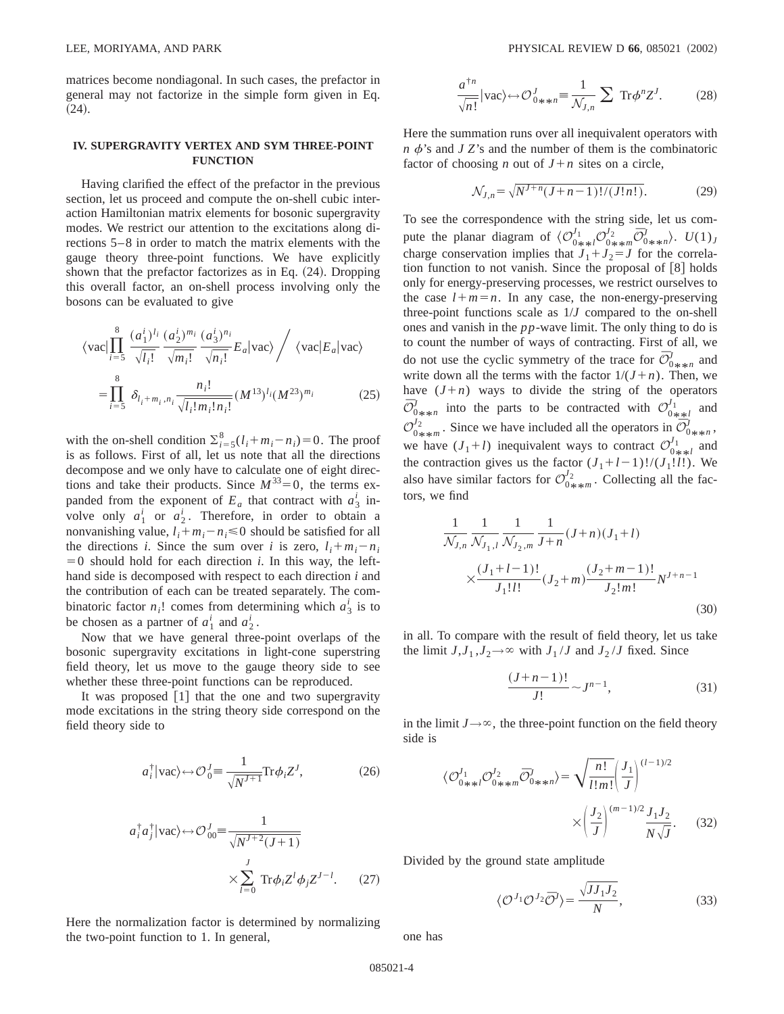matrices become nondiagonal. In such cases, the prefactor in general may not factorize in the simple form given in Eq.  $(24).$ 

## **IV. SUPERGRAVITY VERTEX AND SYM THREE-POINT FUNCTION**

Having clarified the effect of the prefactor in the previous section, let us proceed and compute the on-shell cubic interaction Hamiltonian matrix elements for bosonic supergravity modes. We restrict our attention to the excitations along directions 5–8 in order to match the matrix elements with the gauge theory three-point functions. We have explicitly shown that the prefactor factorizes as in Eq.  $(24)$ . Dropping this overall factor, an on-shell process involving only the bosons can be evaluated to give

$$
\langle \text{vac} | \prod_{i=5}^{8} \frac{(a_1^i)^{l_i}}{\sqrt{l_i!}} \frac{(a_2^i)^{m_i}}{\sqrt{m_i!}} \frac{(a_3^i)^{n_i}}{\sqrt{n_i!}} E_a | \text{vac} \rangle / \langle \text{vac} | E_a | \text{vac} \rangle
$$
  
= 
$$
\prod_{i=5}^{8} \delta_{l_i + m_i, n_i} \frac{n_i!}{\sqrt{l_i! m_i! n_i!}} (M^{13})^{l_i} (M^{23})^{m_i}
$$
(25)

with the on-shell condition  $\sum_{i=5}^{8} (l_i + m_i - n_i) = 0$ . The proof is as follows. First of all, let us note that all the directions decompose and we only have to calculate one of eight directions and take their products. Since  $M^{33}=0$ , the terms expanded from the exponent of  $E_a$  that contract with  $a_3^i$  involve only  $a_1^i$  or  $a_2^i$ . Therefore, in order to obtain a nonvanishing value,  $l_i + m_i - n_i \leq 0$  should be satisfied for all the directions *i*. Since the sum over *i* is zero,  $l_i + m_i - n_i$  $=0$  should hold for each direction *i*. In this way, the lefthand side is decomposed with respect to each direction *i* and the contribution of each can be treated separately. The combinatoric factor  $n_i!$  comes from determining which  $a_3^i$  is to be chosen as a partner of  $a_1^i$  and  $a_2^i$ .

Now that we have general three-point overlaps of the bosonic supergravity excitations in light-cone superstring field theory, let us move to the gauge theory side to see whether these three-point functions can be reproduced.

It was proposed  $\lceil 1 \rceil$  that the one and two supergravity mode excitations in the string theory side correspond on the field theory side to

$$
a_i^{\dagger} |\text{vac}\rangle \leftrightarrow \mathcal{O}_0^J \equiv \frac{1}{\sqrt{N^{J+1}}} \text{Tr} \phi_i Z^J,
$$
 (26)

$$
a_i^{\dagger} a_j^{\dagger} |\text{vac}\rangle \leftrightarrow \mathcal{O}_{00}^J \equiv \frac{1}{\sqrt{N^{J+2}(J+1)}}
$$

$$
\times \sum_{l=0}^J \text{Tr} \phi_l Z^l \phi_j Z^{J-l}.
$$
 (27)

Here the normalization factor is determined by normalizing the two-point function to 1. In general,

$$
\frac{a^{\dagger n}}{\sqrt{n!}}|\text{vac}\rangle \leftrightarrow \mathcal{O}_{0\ast\ast n}^{J} \equiv \frac{1}{\mathcal{N}_{J,n}} \sum \text{Tr}\phi^{n}Z^{J}.
$$
 (28)

Here the summation runs over all inequivalent operators with  $n \phi$ 's and *J Z*'s and the number of them is the combinatoric factor of choosing *n* out of  $J+n$  sites on a circle,

$$
\mathcal{N}_{J,n} = \sqrt{N^{J+n}(J+n-1)!/(J!n!)}. \tag{29}
$$

To see the correspondence with the string side, let us compute the planar diagram of  $\langle \mathcal{O}_{0**}^{J_1} \rangle \mathcal{O}_{0**}^{J_2} \bar{\mathcal{O}}_{0**}^{J} n \rangle$ .  $U(1)_J$ <br>charac concernation implies that  $J_1 J_2 J_3$  for the correlation charge conservation implies that  $J_1 + J_2 = J$  for the correlation function to not vanish. Since the proposal of  $[8]$  holds only for energy-preserving processes, we restrict ourselves to the case  $l+m=n$ . In any case, the non-energy-preserving three-point functions scale as 1/*J* compared to the on-shell ones and vanish in the *pp*-wave limit. The only thing to do is to count the number of ways of contracting. First of all, we do not use the cyclic symmetry of the trace for  $\overline{\mathcal{O}}'_{0**}$  and<br>write down all the terms with the feator  $1/(l+n)$ . Then we write down all the terms with the factor  $1/(J+n)$ . Then, we have  $(J+n)$  ways to divide the string of the operators  $\overline{O}^I_{0\ast\ast n}$  into the parts to be contracted with  $\overline{O}^{I_1}_{0\ast\ast l}$  and  $\mathcal{O}_{0**m}^{j_2^*}$ . Since we have included all the operators in  $\mathcal{O}_{0**n}^{j_2^*}$ we have  $(J_1+l)$  inequivalent ways to contract  $\mathcal{O}_{0+\frac{1}{2}l}^{J_1}$  and the contraction gives us the fector  $(J_1+l_1, 1)/(J_1+l_1)$ . We the contraction gives us the factor  $(J_1+l-1)!/(J_1!l!)$ . We also have similar factors for  $\mathcal{O}_{0*\ast m}^{I_2}$ . Collecting all the factors, we find

$$
\frac{1}{\mathcal{N}_{J,n}} \frac{1}{\mathcal{N}_{J_1,l}} \frac{1}{\mathcal{N}_{J_2,m}} \frac{1}{J+n} (J+n)(J_1+l)
$$
\n
$$
\times \frac{(J_1+l-1)!}{J_1!l!} (J_2+m) \frac{(J_2+m-1)!}{J_2!m!} N^{J+n-1}
$$
\n(30)

in all. To compare with the result of field theory, let us take the limit  $J, J_1, J_2 \rightarrow \infty$  with  $J_1 / J$  and  $J_2 / J$  fixed. Since

$$
\frac{(J+n-1)!}{J!} \sim J^{n-1},\tag{31}
$$

in the limit  $J \rightarrow \infty$ , the three-point function on the field theory side is

$$
\langle \mathcal{O}_{0\ast\ast l}^{J_1} \mathcal{O}_{0\ast\ast m}^{J_2} \overline{\mathcal{O}}_{0\ast\ast m}^{J} \rangle = \sqrt{\frac{n!}{l!m!}} \left(\frac{J_1}{J}\right)^{(l-1)/2} \times \left(\frac{J_2}{J}\right)^{(m-1)/2} \frac{J_1 J_2}{N\sqrt{J}}.
$$
 (32)

Divided by the ground state amplitude

$$
\langle \mathcal{O}^{J_1} \mathcal{O}^{J_2} \overline{\mathcal{O}}^J \rangle = \frac{\sqrt{J J_1 J_2}}{N},\tag{33}
$$

one has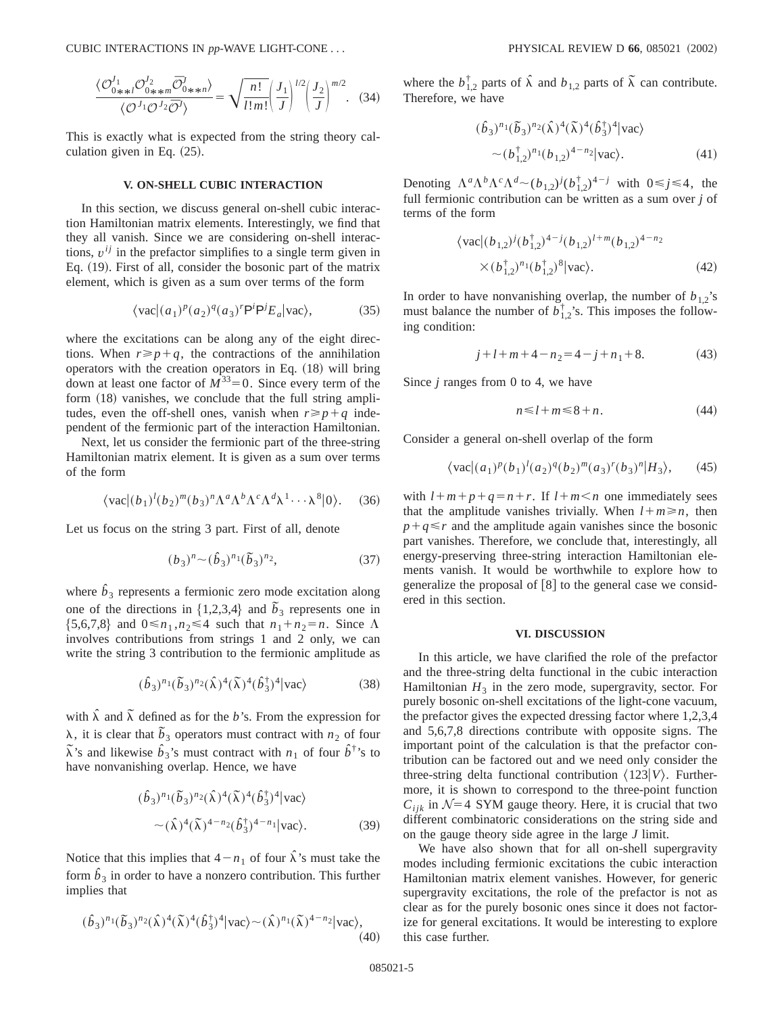CUBIC INTERACTIONS IN *pp*-WAVE LIGHT-CONE . . . PHYSICAL REVIEW D **66**, 085021 ~2002!

$$
\frac{\langle \mathcal{O}_{0\div \mathcal{H}}^{J_1} \mathcal{O}_{0\div \mathcal{H}}^{J_2} \overline{\mathcal{O}}_{0\div \mathcal{H}}^{J_2} \overline{\mathcal{O}}_{0\div \mathcal{H}}^{J_1} \rangle}{\langle \mathcal{O}^{J_1} \mathcal{O}^{J_2} \overline{\mathcal{O}}^{J_1} \rangle} = \sqrt{\frac{n!}{l!m!}} \left(\frac{J_1}{J}\right)^{l/2} \left(\frac{J_2}{J}\right)^{m/2}.
$$
 (34)

This is exactly what is expected from the string theory calculation given in Eq.  $(25)$ .

## **V. ON-SHELL CUBIC INTERACTION**

In this section, we discuss general on-shell cubic interaction Hamiltonian matrix elements. Interestingly, we find that they all vanish. Since we are considering on-shell interactions,  $v^{ij}$  in the prefactor simplifies to a single term given in Eq. (19). First of all, consider the bosonic part of the matrix element, which is given as a sum over terms of the form

$$
\langle \text{vac} | (a_1)^p (a_2)^q (a_3)^r \mathsf{P}^i \mathsf{P}^j E_a | \text{vac} \rangle,\tag{35}
$$

where the excitations can be along any of the eight directions. When  $r \geq p+q$ , the contractions of the annihilation operators with the creation operators in Eq.  $(18)$  will bring down at least one factor of  $M^{33} = 0$ . Since every term of the form  $(18)$  vanishes, we conclude that the full string amplitudes, even the off-shell ones, vanish when  $r \geq p + q$  independent of the fermionic part of the interaction Hamiltonian.

Next, let us consider the fermionic part of the three-string Hamiltonian matrix element. It is given as a sum over terms of the form

$$
\langle \text{vac}|(b_1)^l (b_2)^m (b_3)^n \Lambda^a \Lambda^b \Lambda^c \Lambda^d \lambda^1 \cdots \lambda^8 |0\rangle. \tag{36}
$$

Let us focus on the string 3 part. First of all, denote

$$
(b_3)^n \sim (\hat{b}_3)^{n_1} (\tilde{b}_3)^{n_2}, \tag{37}
$$

where  $\hat{b}_3$  represents a fermionic zero mode excitation along one of the directions in  $\{1,2,3,4\}$  and  $\tilde{b}_3$  represents one in  $\{5,6,7,8\}$  and  $0 \le n_1, n_2 \le 4$  such that  $n_1 + n_2 = n$ . Since  $\Lambda$ involves contributions from strings 1 and 2 only, we can write the string 3 contribution to the fermionic amplitude as

$$
(\hat{b}_3)^{n_1}(\tilde{b}_3)^{n_2}(\hat{\lambda})^4(\tilde{\lambda})^4(\hat{b}_3^{\dagger})^4|\text{vac}\rangle\tag{38}
$$

with  $\hat{\lambda}$  and  $\tilde{\lambda}$  defined as for the *b*'s. From the expression for  $\lambda$ , it is clear that  $\tilde{b}_3$  operators must contract with *n*<sub>2</sub> of four  $\tilde{\lambda}$ 's and likewise  $\hat{b}_3$ 's must contract with *n*<sub>1</sub> of four  $\hat{b}^{\dagger}$ 's to have nonvanishing overlap. Hence, we have

$$
(\hat{b}_3)^{n_1} (\tilde{b}_3)^{n_2} (\hat{\lambda})^4 (\tilde{\lambda})^4 (\hat{b}_3^{\dagger})^4 |\text{vac}\rangle
$$
  
~( \hat{\lambda})^4 (\tilde{\lambda})^{4-n\_2} (\hat{b}\_3^{\dagger})^{4-n\_1} |\text{vac}\rangle. (39)

Notice that this implies that  $4-n_1$  of four  $\hat{\lambda}$ 's must take the form  $\hat{b}_3$  in order to have a nonzero contribution. This further implies that

$$
(\hat{b}_3)^{n_1}(\tilde{b}_3)^{n_2}(\hat{\lambda})^4(\tilde{\lambda})^4(\hat{b}_3^{\dagger})^4|\text{vac}\rangle \sim (\hat{\lambda})^{n_1}(\tilde{\lambda})^{4-n_2}|\text{vac}\rangle, \tag{40}
$$

where the  $b_{1,2}^{\dagger}$  parts of  $\hat{\lambda}$  and  $b_{1,2}$  parts of  $\tilde{\lambda}$  can contribute. Therefore, we have

$$
(\hat{b}_3)^{n_1} (\tilde{b}_3)^{n_2} (\hat{\lambda})^4 (\tilde{\lambda})^4 (\hat{b}_3^{\dagger})^4 |\text{vac}\rangle
$$
  
~ (b<sub>1,2</sub><sup>†</sup>)<sup>n\_1</sup>(b<sub>1,2</sub>)<sup>4-n\_2</sup>|vac\rangle. (41)

Denoting  $\Lambda^a \Lambda^b \Lambda^c \Lambda^d \sim (b_{1,2})^j (b_{1,2}^\dagger)^{4-j}$  with  $0 \le j \le 4$ , the full fermionic contribution can be written as a sum over *j* of terms of the form

$$
\langle \text{vac}|(b_{1,2})^j (b_{1,2}^\dagger)^{4-j} (b_{1,2})^{l+m} (b_{1,2})^{4-n_2}
$$
  
× $(b_{1,2}^\dagger)^{n_1} (b_{1,2}^\dagger)^8 |\text{vac}\rangle$ . (42)

In order to have nonvanishing overlap, the number of  $b_{1,2}$ 's must balance the number of  $b_{1,2}^{\dagger}$ 's. This imposes the following condition:

$$
j + l + m + 4 - n_2 = 4 - j + n_1 + 8. \tag{43}
$$

Since *j* ranges from 0 to 4, we have

$$
n \le l + m \le 8 + n. \tag{44}
$$

Consider a general on-shell overlap of the form

$$
\langle \text{vac} | (a_1)^p (b_1)^l (a_2)^q (b_2)^m (a_3)^r (b_3)^n | H_3 \rangle, \qquad (45)
$$

with  $l+m+p+q=n+r$ . If  $l+m\leq n$  one immediately sees that the amplitude vanishes trivially. When  $l+m \ge n$ , then  $p+q \le r$  and the amplitude again vanishes since the bosonic part vanishes. Therefore, we conclude that, interestingly, all energy-preserving three-string interaction Hamiltonian elements vanish. It would be worthwhile to explore how to generalize the proposal of  $[8]$  to the general case we considered in this section.

## **VI. DISCUSSION**

In this article, we have clarified the role of the prefactor and the three-string delta functional in the cubic interaction Hamiltonian  $H_3$  in the zero mode, supergravity, sector. For purely bosonic on-shell excitations of the light-cone vacuum, the prefactor gives the expected dressing factor where 1,2,3,4 and 5,6,7,8 directions contribute with opposite signs. The important point of the calculation is that the prefactor contribution can be factored out and we need only consider the three-string delta functional contribution  $\langle 123|V\rangle$ . Furthermore, it is shown to correspond to the three-point function  $C_{ijk}$  in  $\mathcal{N}=4$  SYM gauge theory. Here, it is crucial that two different combinatoric considerations on the string side and on the gauge theory side agree in the large *J* limit.

We have also shown that for all on-shell supergravity modes including fermionic excitations the cubic interaction Hamiltonian matrix element vanishes. However, for generic supergravity excitations, the role of the prefactor is not as clear as for the purely bosonic ones since it does not factorize for general excitations. It would be interesting to explore this case further.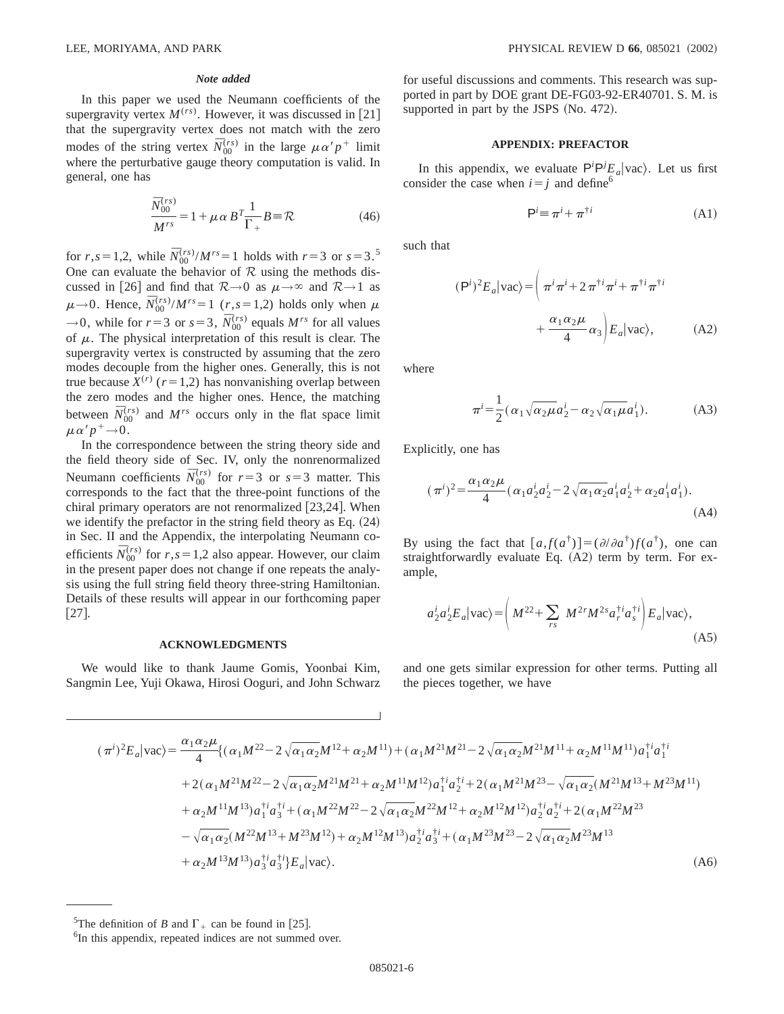## *Note added*

In this paper we used the Neumann coefficients of the supergravity vertex  $M^{(rs)}$ . However, it was discussed in [21] that the supergravity vertex does not match with the zero modes of the string vertex  $\bar{N}_{00}^{(rs)}$  in the large  $\mu \alpha' p^+$  limit where the perturbative gauge theory computation is valid. In general, one has

$$
\frac{\bar{N}_{00}^{(rs)}}{M^{rs}} = 1 + \mu \alpha B^T \frac{1}{\Gamma_+} B = \mathcal{R}
$$
 (46)

for *r*,*s* = 1,2, while  $\bar{N}_{00}^{(rs)}/M^{rs} = 1$  holds with *r* = 3 or *s* = 3.<sup>5</sup> One can evaluate the behavior of  $R$  using the methods discussed in [26] and find that  $R\rightarrow 0$  as  $\mu\rightarrow \infty$  and  $R\rightarrow 1$  as  $\mu \rightarrow 0$ . Hence,  $\bar{N}_{00}^{(rs)}/M^{rs} = 1$  (*r*,*s* = 1,2) holds only when  $\mu$  $\rightarrow$  0, while for  $r=3$  or  $s=3$ ,  $\overline{N}_{00}^{(rs)}$  equals  $M^{rs}$  for all values of  $\mu$ . The physical interpretation of this result is clear. The supergravity vertex is constructed by assuming that the zero modes decouple from the higher ones. Generally, this is not true because  $X^{(r)}$  ( $r=1,2$ ) has nonvanishing overlap between the zero modes and the higher ones. Hence, the matching between  $\bar{N}_{00}^{(rs)}$  and  $M^{rs}$  occurs only in the flat space limit  $\mu\alpha'p^+\rightarrow 0$ .

In the correspondence between the string theory side and the field theory side of Sec. IV, only the nonrenormalized Neumann coefficients  $\bar{N}_{00}^{(rs)}$  for  $r=3$  or  $s=3$  matter. This corresponds to the fact that the three-point functions of the chiral primary operators are not renormalized  $[23,24]$ . When we identify the prefactor in the string field theory as Eq.  $(24)$ in Sec. II and the Appendix, the interpolating Neumann coefficients  $\overline{N}_{00}^{(rs)}$  for  $r, s = 1,2$  also appear. However, our claim in the present paper does not change if one repeats the analysis using the full string field theory three-string Hamiltonian. Details of these results will appear in our forthcoming paper  $[27]$ .

#### **ACKNOWLEDGMENTS**

We would like to thank Jaume Gomis, Yoonbai Kim, Sangmin Lee, Yuji Okawa, Hirosi Ooguri, and John Schwarz for useful discussions and comments. This research was supported in part by DOE grant DE-FG03-92-ER40701. S. M. is supported in part by the JSPS  $(No. 472)$ .

### **APPENDIX: PREFACTOR**

In this appendix, we evaluate  $P^i P^j E_a | \text{vac} \rangle$ . Let us first consider the case when  $i=j$  and define<sup>6</sup>

$$
\mathsf{P}^i \equiv \pi^i + \pi^{\dagger i} \tag{A1}
$$

such that

$$
(\mathsf{P}^i)^2 E_a |\text{vac}\rangle = \left(\pi^i \pi^i + 2 \pi^{\dagger i} \pi^i + \pi^{\dagger i} \pi^{\dagger i} + \frac{\alpha_1 \alpha_2 \mu}{4} \alpha_3\right) E_a |\text{vac}\rangle, \tag{A2}
$$

where

$$
\pi^{i} = \frac{1}{2} (\alpha_1 \sqrt{\alpha_2 \mu} a_2^{i} - \alpha_2 \sqrt{\alpha_1 \mu} a_1^{i}).
$$
 (A3)

Explicitly, one has

$$
(\pi^{i})^{2} = \frac{\alpha_{1}\alpha_{2}\mu}{4} (\alpha_{1}a_{2}^{i}a_{2}^{i} - 2\sqrt{\alpha_{1}\alpha_{2}}a_{1}^{i}a_{2}^{i} + \alpha_{2}a_{1}^{i}a_{1}^{i}).
$$
\n(A4)

By using the fact that  $[a, f(a^{\dagger})] = (\partial/\partial a^{\dagger}) f(a^{\dagger})$ , one can straightforwardly evaluate Eq.  $(A2)$  term by term. For example,

$$
a_2^i a_2^i E_a |\text{vac}\rangle = \left(M^{22} + \sum_{rs} M^{2r} M^{2s} a_r^{\dagger i} a_s^{\dagger i}\right) E_a |\text{vac}\rangle, \tag{A5}
$$

and one gets similar expression for other terms. Putting all the pieces together, we have

$$
(\pi^{i})^{2}E_{a}|vac\rangle = \frac{\alpha_{1}\alpha_{2}\mu}{4} \{(\alpha_{1}M^{22} - 2\sqrt{\alpha_{1}\alpha_{2}}M^{12} + \alpha_{2}M^{11}) + (\alpha_{1}M^{21}M^{21} - 2\sqrt{\alpha_{1}\alpha_{2}}M^{21}M^{11} + \alpha_{2}M^{11}M^{11})a_{1}^{\dagger i}a_{1}^{\dagger i} + 2(\alpha_{1}M^{21}M^{22} - 2\sqrt{\alpha_{1}\alpha_{2}}M^{21}M^{21} + \alpha_{2}M^{11}M^{12})a_{1}^{\dagger i}a_{2}^{\dagger i} + 2(\alpha_{1}M^{21}M^{23} - \sqrt{\alpha_{1}\alpha_{2}}(M^{21}M^{13} + M^{23}M^{11}) + \alpha_{2}M^{11}M^{13})a_{1}^{\dagger i}a_{3}^{\dagger i} + (\alpha_{1}M^{22}M^{22} - 2\sqrt{\alpha_{1}\alpha_{2}}M^{22}M^{12} + \alpha_{2}M^{12}M^{12})a_{2}^{\dagger i}a_{2}^{\dagger i} + 2(\alpha_{1}M^{22}M^{23} - \sqrt{\alpha_{1}\alpha_{2}}(M^{22}M^{13} + M^{23}M^{12}) + \alpha_{2}M^{12}M^{13})a_{2}^{\dagger i}a_{3}^{\dagger i} + (\alpha_{1}M^{23}M^{23} - 2\sqrt{\alpha_{1}\alpha_{2}}M^{23}M^{13} + \alpha_{2}M^{13}M^{13})a_{3}^{\dagger i}a_{3}^{\dagger i}B_{a}|\text{vac}\rangle.
$$
\n(A6)

<sup>&</sup>lt;sup>5</sup>The definition of *B* and  $\Gamma$  + can be found in [25].

<sup>&</sup>lt;sup>6</sup>In this appendix, repeated indices are not summed over.